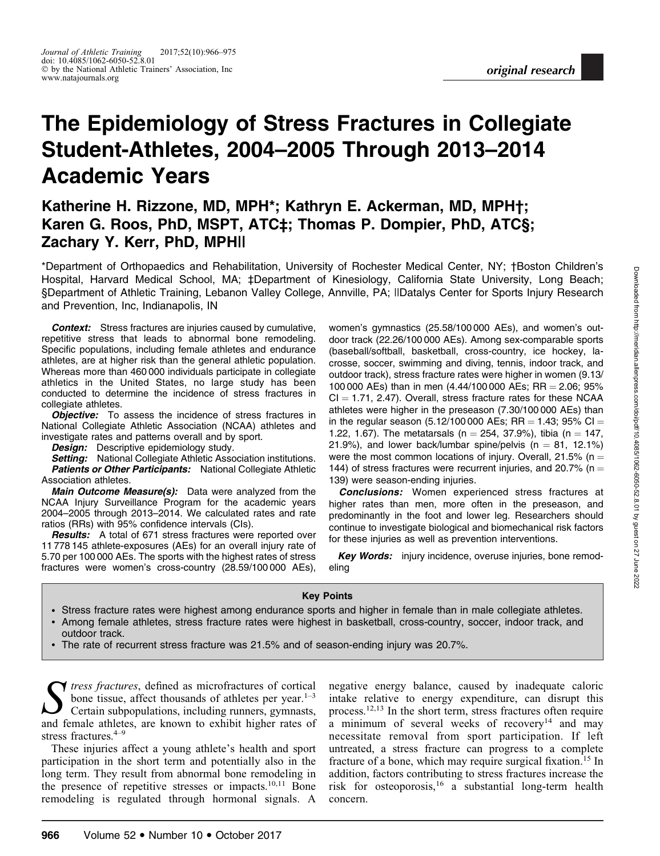# The Epidemiology of Stress Fractures in Collegiate Student-Athletes, 2004–2005 Through 2013–2014 Academic Years

# Katherine H. Rizzone, MD, MPH\*; Kathryn E. Ackerman, MD, MPH†; Karen G. Roos, PhD, MSPT, ATC‡; Thomas P. Dompier, PhD, ATC§; Zachary Y. Kerr, PhD, MPH||

\*Department of Orthopaedics and Rehabilitation, University of Rochester Medical Center, NY; †Boston Children's Hospital, Harvard Medical School, MA; ‡Department of Kinesiology, California State University, Long Beach; §Department of Athletic Training, Lebanon Valley College, Annville, PA; ||Datalys Center for Sports Injury Research and Prevention, Inc, Indianapolis, IN

**Context:** Stress fractures are injuries caused by cumulative, repetitive stress that leads to abnormal bone remodeling. Specific populations, including female athletes and endurance athletes, are at higher risk than the general athletic population. Whereas more than 460 000 individuals participate in collegiate athletics in the United States, no large study has been conducted to determine the incidence of stress fractures in collegiate athletes.

**Objective:** To assess the incidence of stress fractures in National Collegiate Athletic Association (NCAA) athletes and investigate rates and patterns overall and by sport.

**Design:** Descriptive epidemiology study.

**Setting:** National Collegiate Athletic Association institutions. **Patients or Other Participants:** National Collegiate Athletic Association athletes.

Main Outcome Measure(s): Data were analyzed from the NCAA Injury Surveillance Program for the academic years 2004–2005 through 2013–2014. We calculated rates and rate ratios (RRs) with 95% confidence intervals (CIs).

**Results:** A total of 671 stress fractures were reported over 11 778 145 athlete-exposures (AEs) for an overall injury rate of 5.70 per 100 000 AEs. The sports with the highest rates of stress fractures were women's cross-country (28.59/100 000 AEs),

women's gymnastics (25.58/100 000 AEs), and women's outdoor track (22.26/100 000 AEs). Among sex-comparable sports (baseball/softball, basketball, cross-country, ice hockey, lacrosse, soccer, swimming and diving, tennis, indoor track, and outdoor track), stress fracture rates were higher in women (9.13/ 100 000 AEs) than in men  $(4.44/100 000$  AEs; RR = 2.06; 95%  $Cl = 1.71$ , 2.47). Overall, stress fracture rates for these NCAA athletes were higher in the preseason (7.30/100 000 AEs) than in the regular season (5.12/100 000 AEs; RR = 1.43; 95% CI = 1.22, 1.67). The metatarsals (n = 254, 37.9%), tibia (n = 147, 21.9%), and lower back/lumbar spine/pelvis ( $n = 81, 12.1\%$ ) were the most common locations of injury. Overall, 21.5% (n = 144) of stress fractures were recurrent injuries, and 20.7% ( $n =$ 139) were season-ending injuries.

**Conclusions:** Women experienced stress fractures at higher rates than men, more often in the preseason, and predominantly in the foot and lower leg. Researchers should continue to investigate biological and biomechanical risk factors for these injuries as well as prevention interventions.

Key Words: injury incidence, overuse injuries, bone remodeling

Key Points

- Stress fracture rates were highest among endurance sports and higher in female than in male collegiate athletes.
- Among female athletes, stress fracture rates were highest in basketball, cross-country, soccer, indoor track, and outdoor track.
- -The rate of recurrent stress fracture was 21.5% and of season-ending injury was 20.7%.

 $\sum$  tress fractures, defined as microfractures of cortical<br>bone tissue, affect thousands of athletes per year.<sup>1-3</sup><br>certain subpopulations, including runners, gymnasts, bone tissue, affect thousands of athletes per year.<sup>1-3</sup> Certain subpopulations, including runners, gymnasts, and female athletes, are known to exhibit higher rates of stress fractures.<sup>4–9</sup>

These injuries affect a young athlete's health and sport participation in the short term and potentially also in the long term. They result from abnormal bone remodeling in the presence of repetitive stresses or impacts.<sup>10,11</sup> Bone remodeling is regulated through hormonal signals. A negative energy balance, caused by inadequate caloric intake relative to energy expenditure, can disrupt this process.12,13 In the short term, stress fractures often require a minimum of several weeks of recovery<sup>14</sup> and may necessitate removal from sport participation. If left untreated, a stress fracture can progress to a complete fracture of a bone, which may require surgical fixation.<sup>15</sup> In addition, factors contributing to stress fractures increase the risk for osteoporosis,<sup>16</sup> a substantial long-term health concern.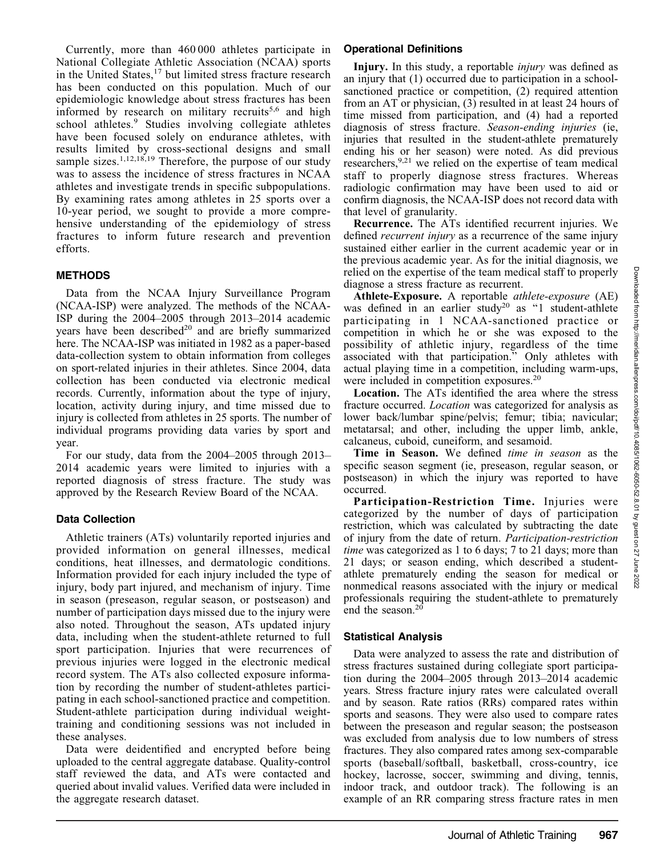27 June 2022

Currently, more than 460 000 athletes participate in National Collegiate Athletic Association (NCAA) sports in the United States,<sup>17</sup> but limited stress fracture research has been conducted on this population. Much of our epidemiologic knowledge about stress fractures has been informed by research on military recruits<sup>5,6</sup> and high school athletes.<sup>9</sup> Studies involving collegiate athletes have been focused solely on endurance athletes, with results limited by cross-sectional designs and small sample sizes.<sup>1,12,18,19</sup> Therefore, the purpose of our study was to assess the incidence of stress fractures in NCAA athletes and investigate trends in specific subpopulations. By examining rates among athletes in 25 sports over a 10-year period, we sought to provide a more comprehensive understanding of the epidemiology of stress fractures to inform future research and prevention efforts.

# **METHODS**

Data from the NCAA Injury Surveillance Program (NCAA-ISP) were analyzed. The methods of the NCAA-ISP during the 2004–2005 through 2013–2014 academic years have been described<sup>20</sup> and are briefly summarized here. The NCAA-ISP was initiated in 1982 as a paper-based data-collection system to obtain information from colleges on sport-related injuries in their athletes. Since 2004, data collection has been conducted via electronic medical records. Currently, information about the type of injury, location, activity during injury, and time missed due to injury is collected from athletes in 25 sports. The number of individual programs providing data varies by sport and year.

For our study, data from the 2004–2005 through 2013– 2014 academic years were limited to injuries with a reported diagnosis of stress fracture. The study was approved by the Research Review Board of the NCAA.

## Data Collection

Athletic trainers (ATs) voluntarily reported injuries and provided information on general illnesses, medical conditions, heat illnesses, and dermatologic conditions. Information provided for each injury included the type of injury, body part injured, and mechanism of injury. Time in season (preseason, regular season, or postseason) and number of participation days missed due to the injury were also noted. Throughout the season, ATs updated injury data, including when the student-athlete returned to full sport participation. Injuries that were recurrences of previous injuries were logged in the electronic medical record system. The ATs also collected exposure information by recording the number of student-athletes participating in each school-sanctioned practice and competition. Student-athlete participation during individual weighttraining and conditioning sessions was not included in these analyses.

Data were deidentified and encrypted before being uploaded to the central aggregate database. Quality-control staff reviewed the data, and ATs were contacted and queried about invalid values. Verified data were included in the aggregate research dataset.

#### Operational Definitions

Injury. In this study, a reportable *injury* was defined as an injury that (1) occurred due to participation in a schoolsanctioned practice or competition, (2) required attention from an AT or physician, (3) resulted in at least 24 hours of time missed from participation, and (4) had a reported diagnosis of stress fracture. Season-ending injuries (ie, injuries that resulted in the student-athlete prematurely ending his or her season) were noted. As did previous researchers,  $9.21$  we relied on the expertise of team medical staff to properly diagnose stress fractures. Whereas radiologic confirmation may have been used to aid or confirm diagnosis, the NCAA-ISP does not record data with that level of granularity.

Recurrence. The ATs identified recurrent injuries. We defined recurrent injury as a recurrence of the same injury sustained either earlier in the current academic year or in the previous academic year. As for the initial diagnosis, we relied on the expertise of the team medical staff to properly diagnose a stress fracture as recurrent.

Athlete-Exposure. A reportable *athlete-exposure* (AE) was defined in an earlier study<sup>20</sup> as "1 student-athlete participating in 1 NCAA-sanctioned practice or competition in which he or she was exposed to the possibility of athletic injury, regardless of the time associated with that participation.'' Only athletes with actual playing time in a competition, including warm-ups, were included in competition exposures.<sup>20</sup>

Location. The ATs identified the area where the stress fracture occurred. Location was categorized for analysis as lower back/lumbar spine/pelvis; femur; tibia; navicular; metatarsal; and other, including the upper limb, ankle, calcaneus, cuboid, cuneiform, and sesamoid.

Time in Season. We defined *time in season* as the specific season segment (ie, preseason, regular season, or postseason) in which the injury was reported to have occurred.

Participation-Restriction Time. Injuries were categorized by the number of days of participation restriction, which was calculated by subtracting the date of injury from the date of return. Participation-restriction time was categorized as 1 to 6 days; 7 to 21 days; more than 21 days; or season ending, which described a studentathlete prematurely ending the season for medical or nonmedical reasons associated with the injury or medical professionals requiring the student-athlete to prematurely end the season.<sup>20</sup>

## Statistical Analysis

Data were analyzed to assess the rate and distribution of stress fractures sustained during collegiate sport participation during the 2004–2005 through 2013–2014 academic years. Stress fracture injury rates were calculated overall and by season. Rate ratios (RRs) compared rates within sports and seasons. They were also used to compare rates between the preseason and regular season; the postseason was excluded from analysis due to low numbers of stress fractures. They also compared rates among sex-comparable sports (baseball/softball, basketball, cross-country, ice hockey, lacrosse, soccer, swimming and diving, tennis, indoor track, and outdoor track). The following is an example of an RR comparing stress fracture rates in men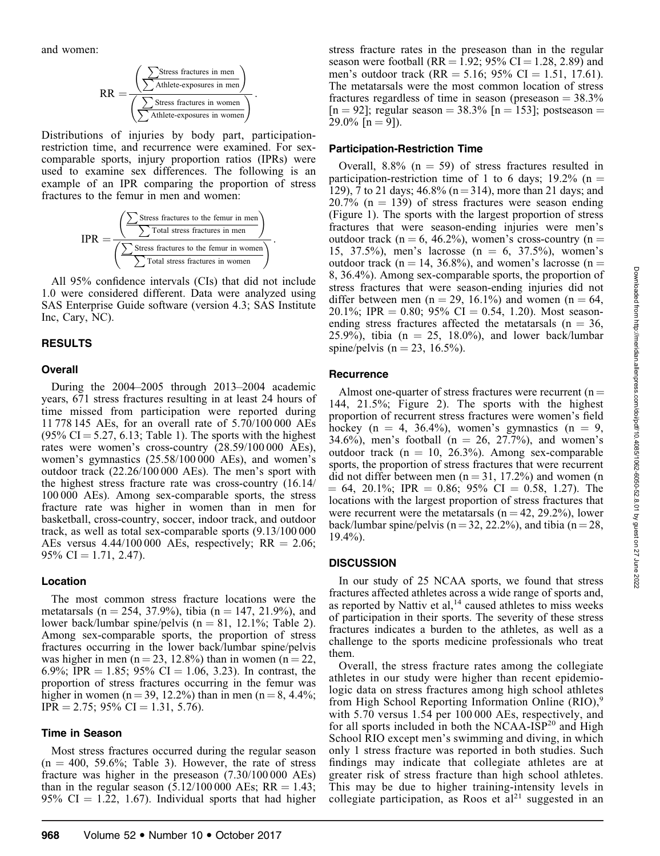and women:

$$
RR = \frac{\left(\sum \text{Stress fractions in men}}{\sum \text{Athlete-exposures in men}}\right)}{\left(\sum \text{Stress fractions in women}}\right)}.
$$

Distributions of injuries by body part, participationrestriction time, and recurrence were examined. For sexcomparable sports, injury proportion ratios (IPRs) were used to examine sex differences. The following is an example of an IPR comparing the proportion of stress fractures to the femur in men and women:

$$
IPR = \frac{\left(\sum \text{Stress fractions to the femur in men}}{\sum \text{Total stress fractions in men}}\right)}{\left(\sum \text{Stress fractions to the femur in women}}{\sum \text{Total stress fractions in women}}.
$$

All 95% confidence intervals (CIs) that did not include 1.0 were considered different. Data were analyzed using SAS Enterprise Guide software (version 4.3; SAS Institute Inc, Cary, NC).

# RESULTS

# **Overall**

During the 2004–2005 through 2013–2004 academic years, 671 stress fractures resulting in at least 24 hours of time missed from participation were reported during 11 778 145 AEs, for an overall rate of 5.70/100 000 AEs  $(95\% \text{ CI} = 5.27, 6.13; \text{Table 1}).$  The sports with the highest rates were women's cross-country (28.59/100 000 AEs), women's gymnastics (25.58/100 000 AEs), and women's outdoor track (22.26/100 000 AEs). The men's sport with the highest stress fracture rate was cross-country (16.14/ 100 000 AEs). Among sex-comparable sports, the stress fracture rate was higher in women than in men for basketball, cross-country, soccer, indoor track, and outdoor track, as well as total sex-comparable sports (9.13/100 000 AEs versus  $4.44/100\,000$  AEs, respectively; RR = 2.06;  $95\% \text{ CI} = 1.71, 2.47$ ).

## Location

The most common stress fracture locations were the metatarsals (n = 254, 37.9%), tibia (n = 147, 21.9%), and lower back/lumbar spine/pelvis ( $n = 81$ , 12.1%; Table 2). Among sex-comparable sports, the proportion of stress fractures occurring in the lower back/lumbar spine/pelvis was higher in men (n = 23, 12.8%) than in women (n = 22, 6.9%; IPR = 1.85; 95% CI = 1.06, 3.23). In contrast, the proportion of stress fractures occurring in the femur was higher in women (n = 39, 12.2%) than in men (n = 8, 4.4%;  $IPR = 2.75$ ; 95% CI = 1.31, 5.76).

# Time in Season

Most stress fractures occurred during the regular season  $(n = 400, 59.6\%;$  Table 3). However, the rate of stress fracture was higher in the preseason (7.30/100 000 AEs) than in the regular season  $(5.12/100\,000 \text{ AES}; \text{RR} = 1.43;$ 95% CI  $=$  1.22, 1.67). Individual sports that had higher stress fracture rates in the preseason than in the regular season were football (RR = 1.92; 95% CI = 1.28, 2.89) and men's outdoor track (RR = 5.16; 95% CI = 1.51, 17.61). The metatarsals were the most common location of stress fractures regardless of time in season (preseason  $= 38.3\%$ )  $[n = 92]$ ; regular season = 38.3%  $[n = 153]$ ; postseason =  $29.0\%$  [n = 9]).

# Participation-Restriction Time

Overall,  $8.8\%$  (n = 59) of stress fractures resulted in participation-restriction time of 1 to 6 days; 19.2% (n = 129), 7 to 21 days;  $46.8\%$  (n = 314), more than 21 days; and  $20.7\%$  (n = 139) of stress fractures were season ending (Figure 1). The sports with the largest proportion of stress fractures that were season-ending injuries were men's outdoor track (n = 6, 46.2%), women's cross-country (n = 15, 37.5%), men's lacrosse  $(n = 6, 37.5%)$ , women's outdoor track (n = 14, 36.8%), and women's lacrosse (n = 8, 36.4%). Among sex-comparable sports, the proportion of stress fractures that were season-ending injuries did not differ between men (n = 29, 16.1%) and women (n = 64, 20.1%; IPR = 0.80; 95% CI = 0.54, 1.20). Most seasonending stress fractures affected the metatarsals ( $n = 36$ , 25.9%), tibia ( $n = 25$ , 18.0%), and lower back/lumbar spine/pelvis ( $n = 23, 16.5%$ ).

# **Recurrence**

Almost one-quarter of stress fractures were recurrent ( $n =$ 144, 21.5%; Figure 2). The sports with the highest proportion of recurrent stress fractures were women's field hockey (n = 4, 36.4%), women's gymnastics (n = 9, 34.6%), men's football ( $n = 26$ , 27.7%), and women's outdoor track  $(n = 10, 26.3%)$ . Among sex-comparable sports, the proportion of stress fractures that were recurrent did not differ between men  $(n = 31, 17.2%)$  and women (n  $= 64, 20.1\%$ ; IPR  $= 0.86$ ; 95% CI  $= 0.58, 1.27$ ). The locations with the largest proportion of stress fractures that were recurrent were the metatarsals  $(n = 42, 29.2\%)$ , lower back/lumbar spine/pelvis ( $n = 32, 22.2\%$ ), and tibia ( $n = 28$ , 19.4%).

# **DISCUSSION**

In our study of 25 NCAA sports, we found that stress fractures affected athletes across a wide range of sports and, as reported by Nattiv et  $al$ ,<sup>14</sup> caused athletes to miss weeks of participation in their sports. The severity of these stress fractures indicates a burden to the athletes, as well as a challenge to the sports medicine professionals who treat them.

Overall, the stress fracture rates among the collegiate athletes in our study were higher than recent epidemiologic data on stress fractures among high school athletes from High School Reporting Information Online  $(RIO)^9$ with 5.70 versus 1.54 per 100 000 AEs, respectively, and for all sports included in both the NCAA- $ISP^{20}$  and High School RIO except men's swimming and diving, in which only 1 stress fracture was reported in both studies. Such findings may indicate that collegiate athletes are at greater risk of stress fracture than high school athletes. This may be due to higher training-intensity levels in collegiate participation, as Roos et  $al<sup>21</sup>$  suggested in an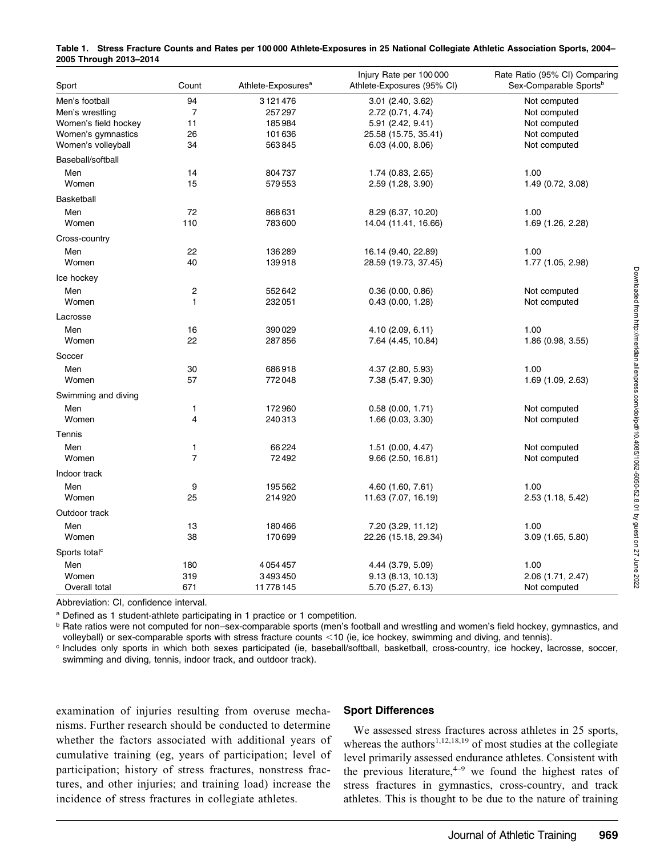| Sport                     | Count          | Athlete-Exposures <sup>a</sup> | Injury Rate per 100 000<br>Athlete-Exposures (95% CI) | Rate Ratio (95% CI) Comparing<br>Sex-Comparable Sports <sup>b</sup> |
|---------------------------|----------------|--------------------------------|-------------------------------------------------------|---------------------------------------------------------------------|
| Men's football            | 94             | 3121476                        | 3.01 (2.40, 3.62)                                     | Not computed                                                        |
| Men's wrestling           | $\overline{7}$ | 257297                         | 2.72 (0.71, 4.74)                                     | Not computed                                                        |
| Women's field hockey      | 11             | 185984                         | 5.91 (2.42, 9.41)                                     | Not computed                                                        |
| Women's gymnastics        | 26             | 101636                         | 25.58 (15.75, 35.41)                                  | Not computed                                                        |
| Women's volleyball        | 34             | 563845                         | $6.03$ $(4.00, 8.06)$                                 | Not computed                                                        |
| Baseball/softball         |                |                                |                                                       |                                                                     |
| Men                       | 14             | 804737                         | 1.74 (0.83, 2.65)                                     | 1.00                                                                |
| Women                     | 15             | 579553                         | 2.59 (1.28, 3.90)                                     | 1.49 (0.72, 3.08)                                                   |
| <b>Basketball</b>         |                |                                |                                                       |                                                                     |
| Men                       | 72             | 868631                         | 8.29 (6.37, 10.20)                                    | 1.00                                                                |
| Women                     | 110            | 783600                         | 14.04 (11.41, 16.66)                                  | 1.69 (1.26, 2.28)                                                   |
| Cross-country             |                |                                |                                                       |                                                                     |
| Men                       | 22             | 136289                         | 16.14 (9.40, 22.89)                                   | 1.00                                                                |
| Women                     | 40             | 139918                         | 28.59 (19.73, 37.45)                                  | 1.77 (1.05, 2.98)                                                   |
| Ice hockey                |                |                                |                                                       |                                                                     |
|                           |                |                                |                                                       |                                                                     |
| Men<br>Women              | 2<br>1         | 552642<br>232051               | 0.36(0.00, 0.86)<br>0.43(0.00, 1.28)                  | Not computed<br>Not computed                                        |
|                           |                |                                |                                                       |                                                                     |
| Lacrosse                  |                |                                |                                                       |                                                                     |
| Men                       | 16             | 390029                         | 4.10 (2.09, 6.11)                                     | 1.00                                                                |
| Women                     | 22             | 287856                         | 7.64 (4.45, 10.84)                                    | 1.86 (0.98, 3.55)                                                   |
| Soccer                    |                |                                |                                                       |                                                                     |
| Men                       | 30             | 686918                         | 4.37 (2.80, 5.93)                                     | 1.00                                                                |
| Women                     | 57             | 772048                         | 7.38 (5.47, 9.30)                                     | 1.69 (1.09, 2.63)                                                   |
| Swimming and diving       |                |                                |                                                       |                                                                     |
| Men                       | 1              | 172960                         | 0.58(0.00, 1.71)                                      | Not computed                                                        |
| Women                     | 4              | 240313                         | 1.66 (0.03, 3.30)                                     | Not computed                                                        |
| Tennis                    |                |                                |                                                       |                                                                     |
| Men                       | 1              | 66224                          | $1.51$ (0.00, 4.47)                                   | Not computed                                                        |
| Women                     | $\overline{7}$ | 72492                          | $9.66$ (2.50, 16.81)                                  | Not computed                                                        |
| Indoor track              |                |                                |                                                       |                                                                     |
| Men                       | 9              | 195562                         | 4.60 (1.60, 7.61)                                     | 1.00                                                                |
| Women                     | 25             | 214920                         | 11.63 (7.07, 16.19)                                   | 2.53 (1.18, 5.42)                                                   |
| Outdoor track             |                |                                |                                                       |                                                                     |
| Men                       | 13             | 180466                         | 7.20 (3.29, 11.12)                                    | 1.00                                                                |
| Women                     | 38             | 170699                         | 22.26 (15.18, 29.34)                                  | $3.09$ $(1.65, 5.80)$                                               |
| Sports total <sup>c</sup> |                |                                |                                                       |                                                                     |
| Men                       | 180            | 4054457                        | 4.44 (3.79, 5.09)                                     | 1.00                                                                |
| Women                     | 319            | 3493450                        | 9.13 (8.13, 10.13)                                    | 2.06 (1.71, 2.47)                                                   |
| Overall total             | 671            | 11778145                       | 5.70 (5.27, 6.13)                                     | Not computed                                                        |

Table 1. Stress Fracture Counts and Rates per 100 000 Athlete-Exposures in 25 National Collegiate Athletic Association Sports, 2004– 2005 Through 2013–2014

Abbreviation: CI, confidence interval.

<sup>a</sup> Defined as 1 student-athlete participating in 1 practice or 1 competition.

**b** Rate ratios were not computed for non–sex-comparable sports (men's football and wrestling and women's field hockey, gymnastics, and volleyball) or sex-comparable sports with stress fracture counts <10 (ie, ice hockey, swimming and diving, and tennis).

<sup>c</sup> Includes only sports in which both sexes participated (ie, baseball/softball, basketball, cross-country, ice hockey, lacrosse, soccer, swimming and diving, tennis, indoor track, and outdoor track).

examination of injuries resulting from overuse mechanisms. Further research should be conducted to determine whether the factors associated with additional years of cumulative training (eg, years of participation; level of participation; history of stress fractures, nonstress fractures, and other injuries; and training load) increase the incidence of stress fractures in collegiate athletes.

#### Sport Differences

We assessed stress fractures across athletes in 25 sports, whereas the authors<sup>1,12,18,19</sup> of most studies at the collegiate level primarily assessed endurance athletes. Consistent with the previous literature, $4\rightarrow$  we found the highest rates of stress fractures in gymnastics, cross-country, and track athletes. This is thought to be due to the nature of training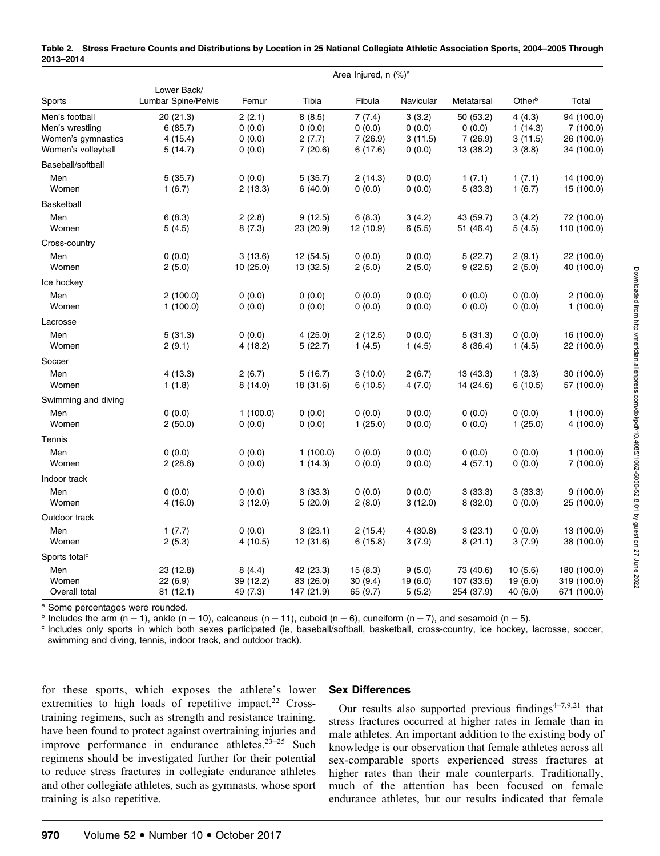|                                                                               | Area Injured, n (%) <sup>a</sup>            |                                      |                                       |                                         |                                       |                                             |                                        |                                                    |  |  |
|-------------------------------------------------------------------------------|---------------------------------------------|--------------------------------------|---------------------------------------|-----------------------------------------|---------------------------------------|---------------------------------------------|----------------------------------------|----------------------------------------------------|--|--|
| Sports                                                                        | Lower Back/<br>Lumbar Spine/Pelvis          | Femur                                | Tibia                                 | Fibula                                  | Navicular                             | Metatarsal                                  | Other <sup>b</sup>                     | Total                                              |  |  |
| Men's football<br>Men's wrestling<br>Women's gymnastics<br>Women's volleyball | 20 (21.3)<br>6(85.7)<br>4 (15.4)<br>5(14.7) | 2(2.1)<br>0(0.0)<br>0(0.0)<br>0(0.0) | 8(8.5)<br>0(0.0)<br>2(7.7)<br>7(20.6) | 7(7.4)<br>0(0.0)<br>7(26.9)<br>6 (17.6) | 3(3.2)<br>0(0.0)<br>3(11.5)<br>0(0.0) | 50 (53.2)<br>0(0.0)<br>7(26.9)<br>13 (38.2) | 4(4.3)<br>1(14.3)<br>3(11.5)<br>3(8.8) | 94 (100.0)<br>7(100.0)<br>26 (100.0)<br>34 (100.0) |  |  |
| Baseball/softball                                                             |                                             |                                      |                                       |                                         |                                       |                                             |                                        |                                                    |  |  |
| Men<br>Women                                                                  | 5(35.7)<br>1(6.7)                           | 0(0.0)<br>2(13.3)                    | 5(35.7)<br>6(40.0)                    | 2 (14.3)<br>0(0.0)                      | 0(0.0)<br>0(0.0)                      | 1(7.1)<br>5(33.3)                           | 1(7.1)<br>1(6.7)                       | 14 (100.0)<br>15 (100.0)                           |  |  |
| Basketball                                                                    |                                             |                                      |                                       |                                         |                                       |                                             |                                        |                                                    |  |  |
| Men<br>Women                                                                  | 6(8.3)<br>5(4.5)                            | 2(2.8)<br>8(7.3)                     | 9(12.5)<br>23 (20.9)                  | 6(8.3)<br>12 (10.9)                     | 3(4.2)<br>6(5.5)                      | 43 (59.7)<br>51 (46.4)                      | 3(4.2)<br>5(4.5)                       | 72 (100.0)<br>110 (100.0)                          |  |  |
| Cross-country                                                                 |                                             |                                      |                                       |                                         |                                       |                                             |                                        |                                                    |  |  |
| Men<br>Women                                                                  | 0(0.0)<br>2(5.0)                            | 3(13.6)<br>10 (25.0)                 | 12 (54.5)<br>13 (32.5)                | 0(0.0)<br>2(5.0)                        | 0(0.0)<br>2(5.0)                      | 5(22.7)<br>9(22.5)                          | 2(9.1)<br>2(5.0)                       | 22 (100.0)<br>40 (100.0)                           |  |  |
| Ice hockey                                                                    |                                             |                                      |                                       |                                         |                                       |                                             |                                        |                                                    |  |  |
| Men<br>Women                                                                  | 2(100.0)<br>1(100.0)                        | 0(0.0)<br>0(0.0)                     | 0(0.0)<br>0(0.0)                      | 0(0.0)<br>0(0.0)                        | 0(0.0)<br>0(0.0)                      | 0(0.0)<br>0(0.0)                            | 0(0.0)<br>0(0.0)                       | 2(100.0)<br>1(100.0)                               |  |  |
| Lacrosse<br>Men                                                               | 5(31.3)                                     | 0(0.0)                               | 4(25.0)                               | 2 (12.5)                                | 0(0.0)                                | 5(31.3)                                     | 0(0.0)                                 | 16 (100.0)                                         |  |  |
| Women                                                                         | 2(9.1)                                      | 4 (18.2)                             | 5(22.7)                               | 1(4.5)                                  | 1(4.5)                                | 8(36.4)                                     | 1(4.5)                                 | 22 (100.0)                                         |  |  |
| Soccer                                                                        |                                             |                                      |                                       |                                         |                                       |                                             |                                        |                                                    |  |  |
| Men<br>Women                                                                  | 4 (13.3)<br>1(1.8)                          | 2(6.7)<br>8(14.0)                    | 5(16.7)<br>18 (31.6)                  | 3(10.0)<br>6(10.5)                      | 2(6.7)<br>4(7.0)                      | 13 (43.3)<br>14 (24.6)                      | 1(3.3)<br>6(10.5)                      | 30 (100.0)<br>57 (100.0)                           |  |  |
| Swimming and diving                                                           |                                             |                                      |                                       |                                         |                                       |                                             |                                        |                                                    |  |  |
| Men<br>Women                                                                  | 0(0.0)<br>2(50.0)                           | 1(100.0)<br>0(0.0)                   | 0(0.0)<br>0(0.0)                      | (0.0)<br>1(25.0)                        | 0(0.0)<br>0(0.0)                      | 0(0.0)<br>0(0.0)                            | 0(0.0)<br>1(25.0)                      | 1(100.0)<br>4 (100.0)                              |  |  |
| Tennis                                                                        |                                             |                                      |                                       |                                         |                                       |                                             |                                        |                                                    |  |  |
| Men<br>Women                                                                  | 0(0.0)<br>2(28.6)                           | 0(0.0)<br>0(0.0)                     | 1(100.0)<br>1(14.3)                   | 0(0.0)<br>0(0.0)                        | 0(0.0)<br>0(0.0)                      | 0(0.0)<br>4(57.1)                           | 0(0.0)<br>0(0.0)                       | 1(100.0)<br>7(100.0)                               |  |  |
| Indoor track                                                                  |                                             |                                      |                                       |                                         |                                       |                                             |                                        |                                                    |  |  |
| Men<br>Women                                                                  | 0(0.0)<br>4(16.0)                           | 0(0.0)<br>3(12.0)                    | 3(33.3)<br>5(20.0)                    | 0(0.0)<br>2 (8.0)                       | 0(0.0)<br>3(12.0)                     | 3(33.3)<br>8(32.0)                          | 3(33.3)<br>0(0.0)                      | 9(100.0)<br>25 (100.0)                             |  |  |
| Outdoor track                                                                 |                                             |                                      |                                       |                                         |                                       |                                             |                                        |                                                    |  |  |
| Men<br>Women                                                                  | 1(7.7)<br>2(5.3)                            | 0(0.0)<br>4 (10.5)                   | 3(23.1)<br>12 (31.6)                  | 2 (15.4)<br>6(15.8)                     | 4(30.8)<br>3(7.9)                     | 3(23.1)<br>8(21.1)                          | 0(0.0)<br>3(7.9)                       | 13 (100.0)<br>38 (100.0)                           |  |  |
| Sports total <sup>c</sup>                                                     |                                             |                                      |                                       |                                         |                                       |                                             |                                        |                                                    |  |  |
| Men<br>Women<br>Overall total                                                 | 23 (12.8)<br>22(6.9)<br>81(12.1)            | 8(4.4)<br>39 (12.2)<br>49 (7.3)      | 42 (23.3)<br>83 (26.0)<br>147 (21.9)  | 15(8.3)<br>30(9.4)<br>65 (9.7)          | 9(5.0)<br>19(6.0)<br>5(5.2)           | 73 (40.6)<br>107 (33.5)<br>254 (37.9)       | 10(5.6)<br>19 (6.0)<br>40 (6.0)        | 180 (100.0)<br>319 (100.0)<br>671 (100.0)          |  |  |

|           | Table 2. Stress Fracture Counts and Distributions by Location in 25 National Collegiate Athletic Association Sports, 2004-2005 Through |
|-----------|----------------------------------------------------------------------------------------------------------------------------------------|
| 2013-2014 |                                                                                                                                        |

<sup>a</sup> Some percentages were rounded.

b Includes the arm (n = 1), ankle (n = 10), calcaneus (n = 11), cuboid (n = 6), cuneiform (n = 7), and sesamoid (n = 5).

<sup>c</sup> Includes only sports in which both sexes participated (ie, baseball/softball, basketball, cross-country, ice hockey, lacrosse, soccer, swimming and diving, tennis, indoor track, and outdoor track).

for these sports, which exposes the athlete's lower extremities to high loads of repetitive impact.<sup>22</sup> Crosstraining regimens, such as strength and resistance training, have been found to protect against overtraining injuries and improve performance in endurance athletes. $2^{3-25}$  Such regimens should be investigated further for their potential to reduce stress fractures in collegiate endurance athletes and other collegiate athletes, such as gymnasts, whose sport training is also repetitive.

#### Sex Differences

Our results also supported previous findings $4-7,9,21$  that stress fractures occurred at higher rates in female than in male athletes. An important addition to the existing body of knowledge is our observation that female athletes across all sex-comparable sports experienced stress fractures at higher rates than their male counterparts. Traditionally, much of the attention has been focused on female endurance athletes, but our results indicated that female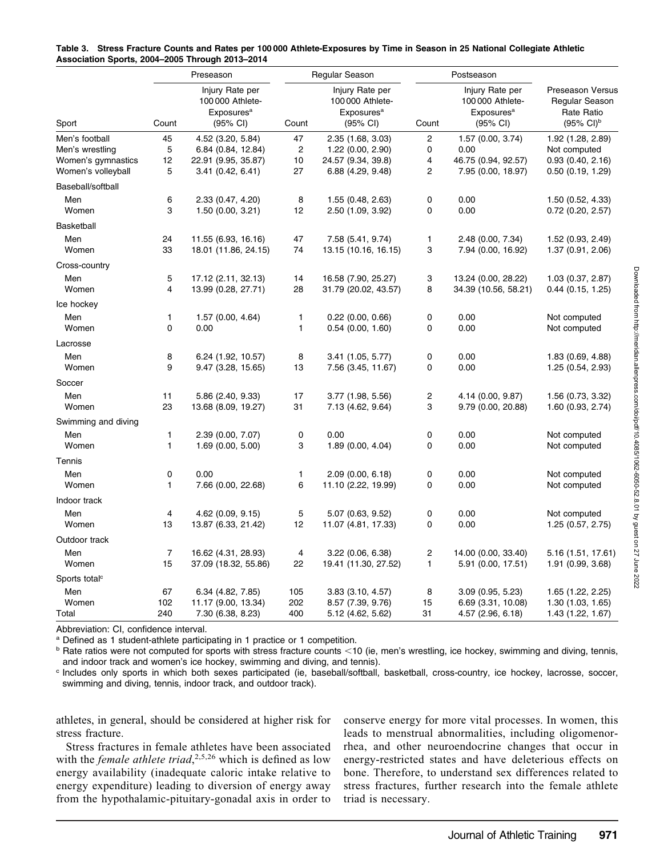|                           | Preseason         |                                                                           |                         | Regular Season                                                                      |         | Postseason                                                                |                                                                                  |  |
|---------------------------|-------------------|---------------------------------------------------------------------------|-------------------------|-------------------------------------------------------------------------------------|---------|---------------------------------------------------------------------------|----------------------------------------------------------------------------------|--|
| Sport                     | Count             | Injury Rate per<br>100 000 Athlete-<br>Exposures <sup>a</sup><br>(95% CI) | Count                   | Injury Rate per<br>100 000 Athlete-<br>Exposures <sup>a</sup><br>$(95% \text{ Cl})$ | Count   | Injury Rate per<br>100 000 Athlete-<br>Exposures <sup>a</sup><br>(95% CI) | Preseason Versus<br>Regular Season<br><b>Rate Ratio</b><br>$(95\% \text{ Cl})^b$ |  |
| Men's football            | 45                | 4.52 (3.20, 5.84)                                                         | 47                      | 2.35 (1.68, 3.03)                                                                   | 2       | 1.57(0.00, 3.74)                                                          | 1.92 (1.28, 2.89)                                                                |  |
| Men's wrestling           | 5                 | 6.84 (0.84, 12.84)                                                        | $\overline{\mathbf{c}}$ | 1.22 (0.00, 2.90)                                                                   | 0       | 0.00                                                                      | Not computed                                                                     |  |
| Women's gymnastics        | 12                | 22.91 (9.95, 35.87)                                                       | 10                      | 24.57 (9.34, 39.8)                                                                  | 4       | 46.75 (0.94, 92.57)                                                       | 0.93(0.40, 2.16)                                                                 |  |
| Women's volleyball        | 5                 | 3.41(0.42, 6.41)                                                          | 27                      | 6.88 (4.29, 9.48)                                                                   | 2       | 7.95 (0.00, 18.97)                                                        | 0.50(0.19, 1.29)                                                                 |  |
| Baseball/softball         |                   |                                                                           |                         |                                                                                     |         |                                                                           |                                                                                  |  |
| Men                       | 6                 | 2.33 (0.47, 4.20)                                                         | 8                       | 1.55 (0.48, 2.63)                                                                   | 0       | 0.00                                                                      | 1.50(0.52, 4.33)                                                                 |  |
| Women                     | 3                 | 1.50(0.00, 3.21)                                                          | 12                      | 2.50 (1.09, 3.92)                                                                   | 0       | 0.00                                                                      | $0.72$ (0.20, 2.57)                                                              |  |
| <b>Basketball</b>         |                   |                                                                           |                         |                                                                                     |         |                                                                           |                                                                                  |  |
| Men                       | 24                | 11.55 (6.93, 16.16)                                                       | 47                      | 7.58 (5.41, 9.74)                                                                   | 1       | 2.48 (0.00, 7.34)                                                         | 1.52 (0.93, 2.49)                                                                |  |
| Women                     | 33                | 18.01 (11.86, 24.15)                                                      | 74                      | 13.15 (10.16, 16.15)                                                                | 3       | 7.94 (0.00, 16.92)                                                        | 1.37 (0.91, 2.06)                                                                |  |
| Cross-country             |                   |                                                                           |                         |                                                                                     |         |                                                                           |                                                                                  |  |
| Men                       | 5                 | 17.12 (2.11, 32.13)                                                       | 14                      | 16.58 (7.90, 25.27)                                                                 | 3       | 13.24 (0.00, 28.22)                                                       | 1.03(0.37, 2.87)                                                                 |  |
| Women                     | $\overline{4}$    | 13.99 (0.28, 27.71)                                                       | 28                      | 31.79 (20.02, 43.57)                                                                | 8       | 34.39 (10.56, 58.21)                                                      | $0.44$ (0.15, 1.25)                                                              |  |
| Ice hockey                |                   |                                                                           |                         |                                                                                     |         |                                                                           |                                                                                  |  |
| Men                       | 1                 | 1.57 (0.00, 4.64)                                                         | 1                       | $0.22$ (0.00, 0.66)                                                                 | 0       | 0.00                                                                      | Not computed                                                                     |  |
| Women                     | 0                 | 0.00                                                                      | 1                       | $0.54$ (0.00, 1.60)                                                                 | 0       | 0.00                                                                      | Not computed                                                                     |  |
| Lacrosse                  |                   |                                                                           |                         |                                                                                     |         |                                                                           |                                                                                  |  |
| Men                       | 8                 | 6.24 (1.92, 10.57)                                                        | 8                       | 3.41 (1.05, 5.77)                                                                   | 0       | 0.00                                                                      | 1.83 (0.69, 4.88)                                                                |  |
| Women                     | 9                 | 9.47(3.28, 15.65)                                                         | 13                      | 7.56 (3.45, 11.67)                                                                  | 0       | 0.00                                                                      | 1.25(0.54, 2.93)                                                                 |  |
| Soccer                    |                   |                                                                           |                         |                                                                                     |         |                                                                           |                                                                                  |  |
| Men                       | 11                | 5.86 (2.40, 9.33)                                                         | 17                      | 3.77 (1.98, 5.56)                                                                   | 2       | 4.14 (0.00, 9.87)                                                         | 1.56 (0.73, 3.32)                                                                |  |
| Women                     | 23                | 13.68 (8.09, 19.27)                                                       | 31                      | 7.13 (4.62, 9.64)                                                                   | 3       | 9.79 (0.00, 20.88)                                                        | 1.60 (0.93, 2.74)                                                                |  |
| Swimming and diving       |                   |                                                                           |                         |                                                                                     |         |                                                                           |                                                                                  |  |
| Men                       | 1                 | 2.39 (0.00, 7.07)                                                         | 0                       | 0.00                                                                                | 0<br>0  | 0.00                                                                      | Not computed                                                                     |  |
| Women                     | 1                 | 1.69(0.00, 5.00)                                                          | 3                       | 1.89 (0.00, 4.04)                                                                   |         | 0.00                                                                      | Not computed                                                                     |  |
| Tennis                    |                   |                                                                           |                         |                                                                                     |         |                                                                           |                                                                                  |  |
| Men                       | 0<br>$\mathbf{1}$ | 0.00                                                                      | 1<br>6                  | $2.09$ (0.00, 6.18)                                                                 | 0<br>0  | 0.00                                                                      | Not computed                                                                     |  |
| Women                     |                   | 7.66 (0.00, 22.68)                                                        |                         | 11.10 (2.22, 19.99)                                                                 |         | 0.00                                                                      | Not computed                                                                     |  |
| Indoor track              |                   |                                                                           |                         |                                                                                     |         |                                                                           |                                                                                  |  |
| Men                       | 4                 | $4.62$ (0.09, 9.15)                                                       | 5                       | 5.07 (0.63, 9.52)                                                                   | 0       | 0.00                                                                      | Not computed                                                                     |  |
| Women                     | 13                | 13.87 (6.33, 21.42)                                                       | 12                      | 11.07 (4.81, 17.33)                                                                 | 0       | 0.00                                                                      | 1.25 (0.57, 2.75)                                                                |  |
| Outdoor track             |                   |                                                                           |                         |                                                                                     |         |                                                                           |                                                                                  |  |
| Men<br>Women              | 7<br>15           | 16.62 (4.31, 28.93)                                                       | 4<br>22                 | 3.22 (0.06, 6.38)                                                                   | 2<br>1  | 14.00 (0.00, 33.40)                                                       | 5.16 (1.51, 17.61)                                                               |  |
|                           |                   | 37.09 (18.32, 55.86)                                                      |                         | 19.41 (11.30, 27.52)                                                                |         | 5.91 (0.00, 17.51)                                                        | 1.91(0.99, 3.68)                                                                 |  |
| Sports total <sup>c</sup> |                   |                                                                           |                         |                                                                                     |         |                                                                           |                                                                                  |  |
| Men<br>Women              | 67<br>102         | 6.34 (4.82, 7.85)<br>11.17 (9.00, 13.34)                                  | 105<br>202              | $3.83$ $(3.10, 4.57)$<br>8.57 (7.39, 9.76)                                          | 8<br>15 | $3.09$ (0.95, 5.23)<br>6.69 (3.31, 10.08)                                 | 1.65 (1.22, 2.25)                                                                |  |
| Total                     | 240               | 7.30 (6.38, 8.23)                                                         | 400                     | 5.12 (4.62, 5.62)                                                                   | 31      | 4.57 (2.96, 6.18)                                                         | 1.30(1.03, 1.65)<br>1.43 (1.22, 1.67)                                            |  |
|                           |                   |                                                                           |                         |                                                                                     |         |                                                                           |                                                                                  |  |

|                                                 |  | Table 3.   Stress Fracture Counts and Rates per 100 000 Athlete-Exposures by Time in Season in 25 National Collegiate Athletic |  |  |  |
|-------------------------------------------------|--|--------------------------------------------------------------------------------------------------------------------------------|--|--|--|
| Association Sports, 2004–2005 Through 2013–2014 |  |                                                                                                                                |  |  |  |

Abbreviation: CI, confidence interval.

<sup>a</sup> Defined as 1 student-athlete participating in 1 practice or 1 competition.

 $<sup>b</sup>$  Rate ratios were not computed for sports with stress fracture counts <10 (ie, men's wrestling, ice hockey, swimming and diving, tennis,</sup> and indoor track and women's ice hockey, swimming and diving, and tennis).

<sup>c</sup> Includes only sports in which both sexes participated (ie, baseball/softball, basketball, cross-country, ice hockey, lacrosse, soccer, swimming and diving, tennis, indoor track, and outdoor track).

athletes, in general, should be considered at higher risk for stress fracture.

Stress fractures in female athletes have been associated with the *female athlete triad*,  $2,5,26$  which is defined as low energy availability (inadequate caloric intake relative to energy expenditure) leading to diversion of energy away from the hypothalamic-pituitary-gonadal axis in order to

conserve energy for more vital processes. In women, this leads to menstrual abnormalities, including oligomenorrhea, and other neuroendocrine changes that occur in energy-restricted states and have deleterious effects on bone. Therefore, to understand sex differences related to stress fractures, further research into the female athlete triad is necessary.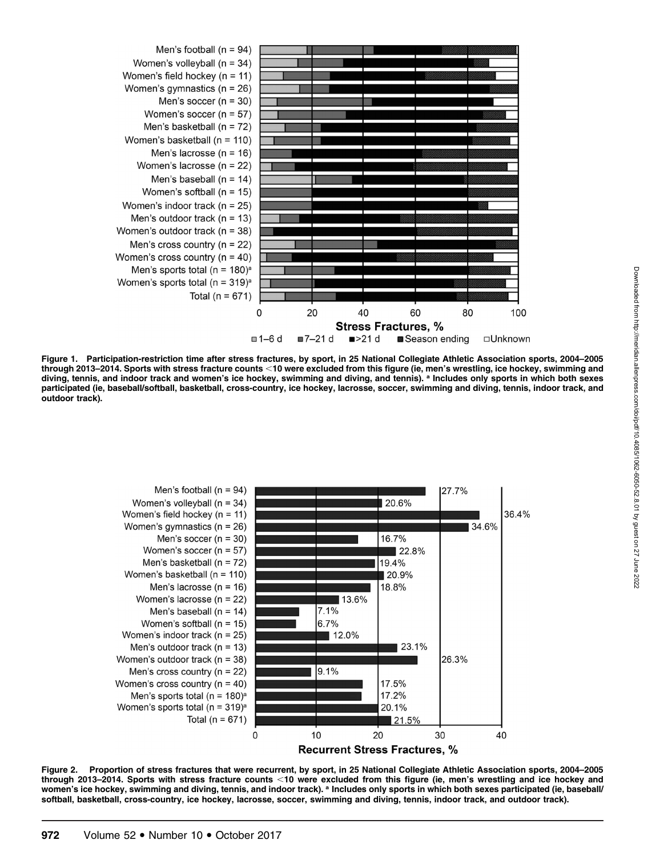

Figure 1. Participation-restriction time after stress fractures, by sport, in 25 National Collegiate Athletic Association sports, 2004–2005 through 2013–2014. Sports with stress fracture counts <10 were excluded from this figure (ie, men's wrestling, ice hockey, swimming and diving, tennis, and indoor track and women's ice hockey, swimming and diving, and tennis). <sup>a</sup> Includes only sports in which both sexes participated (ie, baseball/softball, basketball, cross-country, ice hockey, lacrosse, soccer, swimming and diving, tennis, indoor track, and outdoor track).



Figure 2. Proportion of stress fractures that were recurrent, by sport, in 25 National Collegiate Athletic Association sports, 2004–2005 through 2013–2014. Sports with stress fracture counts <10 were excluded from this figure (ie, men's wrestling and ice hockey and women's ice hockey, swimming and diving, tennis, and indoor track). a Includes only sports in which both sexes participated (ie, baseball/ softball, basketball, cross-country, ice hockey, lacrosse, soccer, swimming and diving, tennis, indoor track, and outdoor track).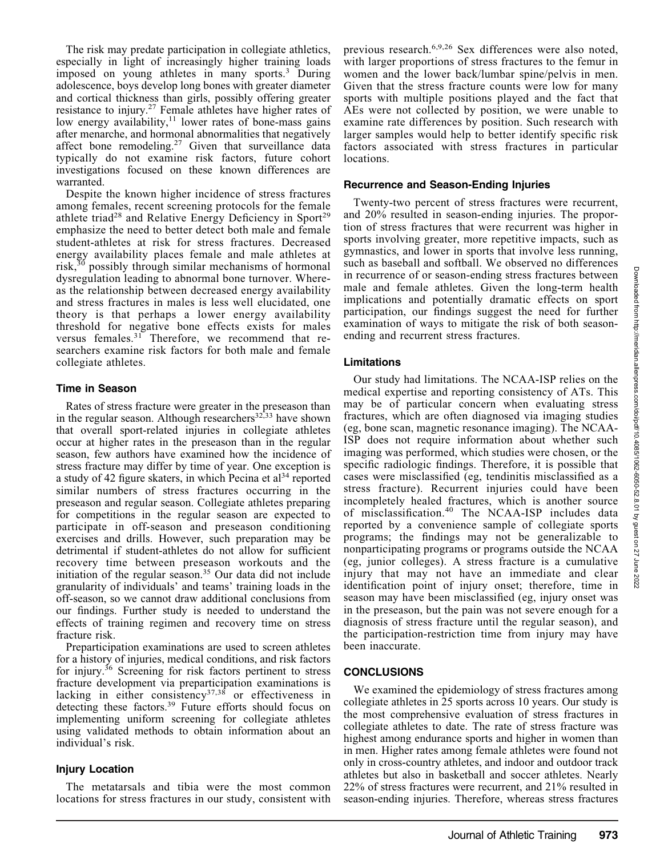The risk may predate participation in collegiate athletics, especially in light of increasingly higher training loads imposed on young athletes in many sports.<sup>3</sup> During adolescence, boys develop long bones with greater diameter and cortical thickness than girls, possibly offering greater resistance to injury.27 Female athletes have higher rates of low energy availability, $11$  lower rates of bone-mass gains after menarche, and hormonal abnormalities that negatively affect bone remodeling.<sup>27</sup> Given that surveillance data typically do not examine risk factors, future cohort investigations focused on these known differences are warranted.

Despite the known higher incidence of stress fractures among females, recent screening protocols for the female athlete triad<sup>28</sup> and Relative Energy Deficiency in Sport<sup>29</sup> emphasize the need to better detect both male and female student-athletes at risk for stress fractures. Decreased energy availability places female and male athletes at risk, $30$  possibly through similar mechanisms of hormonal dysregulation leading to abnormal bone turnover. Whereas the relationship between decreased energy availability and stress fractures in males is less well elucidated, one theory is that perhaps a lower energy availability threshold for negative bone effects exists for males versus females.<sup>31</sup> Therefore, we recommend that researchers examine risk factors for both male and female collegiate athletes.

#### Time in Season

Rates of stress fracture were greater in the preseason than in the regular season. Although researchers<sup>32, 33</sup> have shown that overall sport-related injuries in collegiate athletes occur at higher rates in the preseason than in the regular season, few authors have examined how the incidence of stress fracture may differ by time of year. One exception is a study of 42 figure skaters, in which Pecina et  $al<sup>34</sup>$  reported similar numbers of stress fractures occurring in the preseason and regular season. Collegiate athletes preparing for competitions in the regular season are expected to participate in off-season and preseason conditioning exercises and drills. However, such preparation may be detrimental if student-athletes do not allow for sufficient recovery time between preseason workouts and the initiation of the regular season.<sup>35</sup> Our data did not include granularity of individuals' and teams' training loads in the off-season, so we cannot draw additional conclusions from our findings. Further study is needed to understand the effects of training regimen and recovery time on stress fracture risk.

Preparticipation examinations are used to screen athletes for a history of injuries, medical conditions, and risk factors for injury.36 Screening for risk factors pertinent to stress fracture development via preparticipation examinations is lacking in either consistency<sup>37,38</sup> or effectiveness in detecting these factors.<sup>39</sup> Future efforts should focus on implementing uniform screening for collegiate athletes using validated methods to obtain information about an individual's risk.

## Injury Location

The metatarsals and tibia were the most common locations for stress fractures in our study, consistent with previous research.6,9,26 Sex differences were also noted, with larger proportions of stress fractures to the femur in women and the lower back/lumbar spine/pelvis in men. Given that the stress fracture counts were low for many sports with multiple positions played and the fact that AEs were not collected by position, we were unable to examine rate differences by position. Such research with larger samples would help to better identify specific risk factors associated with stress fractures in particular locations.

#### Recurrence and Season-Ending Injuries

Twenty-two percent of stress fractures were recurrent, and 20% resulted in season-ending injuries. The proportion of stress fractures that were recurrent was higher in sports involving greater, more repetitive impacts, such as gymnastics, and lower in sports that involve less running, such as baseball and softball. We observed no differences in recurrence of or season-ending stress fractures between male and female athletes. Given the long-term health implications and potentially dramatic effects on sport participation, our findings suggest the need for further examination of ways to mitigate the risk of both seasonending and recurrent stress fractures.

#### Limitations

Our study had limitations. The NCAA-ISP relies on the medical expertise and reporting consistency of ATs. This may be of particular concern when evaluating stress fractures, which are often diagnosed via imaging studies (eg, bone scan, magnetic resonance imaging). The NCAA-ISP does not require information about whether such imaging was performed, which studies were chosen, or the specific radiologic findings. Therefore, it is possible that cases were misclassified (eg, tendinitis misclassified as a stress fracture). Recurrent injuries could have been incompletely healed fractures, which is another source of misclassification.<sup>40</sup> The NCAA-ISP includes data reported by a convenience sample of collegiate sports programs; the findings may not be generalizable to nonparticipating programs or programs outside the NCAA (eg, junior colleges). A stress fracture is a cumulative injury that may not have an immediate and clear identification point of injury onset; therefore, time in season may have been misclassified (eg, injury onset was in the preseason, but the pain was not severe enough for a diagnosis of stress fracture until the regular season), and the participation-restriction time from injury may have been inaccurate.

## **CONCLUSIONS**

We examined the epidemiology of stress fractures among collegiate athletes in 25 sports across 10 years. Our study is the most comprehensive evaluation of stress fractures in collegiate athletes to date. The rate of stress fracture was highest among endurance sports and higher in women than in men. Higher rates among female athletes were found not only in cross-country athletes, and indoor and outdoor track athletes but also in basketball and soccer athletes. Nearly 22% of stress fractures were recurrent, and 21% resulted in season-ending injuries. Therefore, whereas stress fractures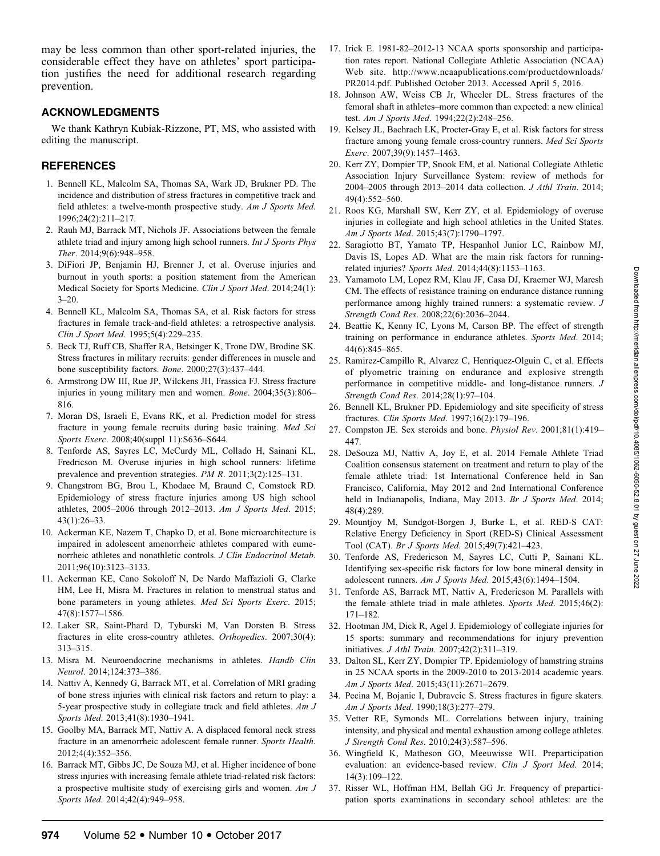may be less common than other sport-related injuries, the considerable effect they have on athletes' sport participation justifies the need for additional research regarding prevention.

# ACKNOWLEDGMENTS

We thank Kathryn Kubiak-Rizzone, PT, MS, who assisted with editing the manuscript.

# REFERENCES

- 1. Bennell KL, Malcolm SA, Thomas SA, Wark JD, Brukner PD. The incidence and distribution of stress fractures in competitive track and field athletes: a twelve-month prospective study. Am J Sports Med. 1996;24(2):211–217.
- 2. Rauh MJ, Barrack MT, Nichols JF. Associations between the female athlete triad and injury among high school runners. Int J Sports Phys Ther. 2014;9(6):948–958.
- 3. DiFiori JP, Benjamin HJ, Brenner J, et al. Overuse injuries and burnout in youth sports: a position statement from the American Medical Society for Sports Medicine. Clin J Sport Med. 2014;24(1):  $3 - 20.$
- 4. Bennell KL, Malcolm SA, Thomas SA, et al. Risk factors for stress fractures in female track-and-field athletes: a retrospective analysis. Clin J Sport Med. 1995;5(4):229–235.
- 5. Beck TJ, Ruff CB, Shaffer RA, Betsinger K, Trone DW, Brodine SK. Stress fractures in military recruits: gender differences in muscle and bone susceptibility factors. Bone. 2000;27(3):437–444.
- 6. Armstrong DW III, Rue JP, Wilckens JH, Frassica FJ. Stress fracture injuries in young military men and women. Bone. 2004;35(3):806– 816.
- 7. Moran DS, Israeli E, Evans RK, et al. Prediction model for stress fracture in young female recruits during basic training. Med Sci Sports Exerc. 2008;40(suppl 11):S636–S644.
- 8. Tenforde AS, Sayres LC, McCurdy ML, Collado H, Sainani KL, Fredricson M. Overuse injuries in high school runners: lifetime prevalence and prevention strategies. PM R. 2011;3(2):125–131.
- 9. Changstrom BG, Brou L, Khodaee M, Braund C, Comstock RD. Epidemiology of stress fracture injuries among US high school athletes, 2005–2006 through 2012–2013. Am J Sports Med. 2015; 43(1):26–33.
- 10. Ackerman KE, Nazem T, Chapko D, et al. Bone microarchitecture is impaired in adolescent amenorrheic athletes compared with eumenorrheic athletes and nonathletic controls. J Clin Endocrinol Metab. 2011;96(10):3123–3133.
- 11. Ackerman KE, Cano Sokoloff N, De Nardo Maffazioli G, Clarke HM, Lee H, Misra M. Fractures in relation to menstrual status and bone parameters in young athletes. Med Sci Sports Exerc. 2015; 47(8):1577–1586.
- 12. Laker SR, Saint-Phard D, Tyburski M, Van Dorsten B. Stress fractures in elite cross-country athletes. Orthopedics. 2007;30(4): 313–315.
- 13. Misra M. Neuroendocrine mechanisms in athletes. Handb Clin Neurol. 2014;124:373–386.
- 14. Nattiv A, Kennedy G, Barrack MT, et al. Correlation of MRI grading of bone stress injuries with clinical risk factors and return to play: a 5-year prospective study in collegiate track and field athletes. Am J Sports Med. 2013;41(8):1930–1941.
- 15. Goolby MA, Barrack MT, Nattiv A. A displaced femoral neck stress fracture in an amenorrheic adolescent female runner. Sports Health. 2012;4(4):352–356.
- 16. Barrack MT, Gibbs JC, De Souza MJ, et al. Higher incidence of bone stress injuries with increasing female athlete triad-related risk factors: a prospective multisite study of exercising girls and women. Am J Sports Med. 2014;42(4):949–958.
- 17. Irick E. 1981-82–2012-13 NCAA sports sponsorship and participation rates report. National Collegiate Athletic Association (NCAA) Web site. http://www.ncaapublications.com/productdownloads/ PR2014.pdf. Published October 2013. Accessed April 5, 2016.
- 18. Johnson AW, Weiss CB Jr, Wheeler DL. Stress fractures of the femoral shaft in athletes–more common than expected: a new clinical test. Am J Sports Med. 1994;22(2):248-256.
- 19. Kelsey JL, Bachrach LK, Procter-Gray E, et al. Risk factors for stress fracture among young female cross-country runners. Med Sci Sports Exerc. 2007;39(9):1457–1463.
- 20. Kerr ZY, Dompier TP, Snook EM, et al. National Collegiate Athletic Association Injury Surveillance System: review of methods for 2004–2005 through 2013–2014 data collection. J Athl Train. 2014; 49(4):552–560.
- 21. Roos KG, Marshall SW, Kerr ZY, et al. Epidemiology of overuse injuries in collegiate and high school athletics in the United States. Am J Sports Med. 2015;43(7):1790–1797.
- 22. Saragiotto BT, Yamato TP, Hespanhol Junior LC, Rainbow MJ, Davis IS, Lopes AD. What are the main risk factors for runningrelated injuries? Sports Med. 2014;44(8):1153–1163.
- 23. Yamamoto LM, Lopez RM, Klau JF, Casa DJ, Kraemer WJ, Maresh CM. The effects of resistance training on endurance distance running performance among highly trained runners: a systematic review. J Strength Cond Res. 2008;22(6):2036–2044.
- 24. Beattie K, Kenny IC, Lyons M, Carson BP. The effect of strength training on performance in endurance athletes. Sports Med. 2014; 44(6):845–865.
- 25. Ramirez-Campillo R, Alvarez C, Henriquez-Olguin C, et al. Effects of plyometric training on endurance and explosive strength performance in competitive middle- and long-distance runners. J Strength Cond Res. 2014;28(1):97–104.
- 26. Bennell KL, Brukner PD. Epidemiology and site specificity of stress fractures. Clin Sports Med. 1997;16(2):179–196.
- 27. Compston JE. Sex steroids and bone. Physiol Rev. 2001;81(1):419– 447.
- 28. DeSouza MJ, Nattiv A, Joy E, et al. 2014 Female Athlete Triad Coalition consensus statement on treatment and return to play of the female athlete triad: 1st International Conference held in San Francisco, California, May 2012 and 2nd International Conference held in Indianapolis, Indiana, May 2013. Br J Sports Med. 2014; 48(4):289.
- 29. Mountjoy M, Sundgot-Borgen J, Burke L, et al. RED-S CAT: Relative Energy Deficiency in Sport (RED-S) Clinical Assessment Tool (CAT). Br J Sports Med. 2015;49(7):421–423.
- 30. Tenforde AS, Fredericson M, Sayres LC, Cutti P, Sainani KL. Identifying sex-specific risk factors for low bone mineral density in adolescent runners. Am J Sports Med. 2015;43(6):1494–1504.
- 31. Tenforde AS, Barrack MT, Nattiv A, Fredericson M. Parallels with the female athlete triad in male athletes. Sports Med. 2015;46(2): 171–182.
- 32. Hootman JM, Dick R, Agel J. Epidemiology of collegiate injuries for 15 sports: summary and recommendations for injury prevention initiatives. J Athl Train. 2007;42(2):311–319.
- 33. Dalton SL, Kerr ZY, Dompier TP. Epidemiology of hamstring strains in 25 NCAA sports in the 2009-2010 to 2013-2014 academic years. Am J Sports Med. 2015;43(11):2671–2679.
- 34. Pecina M, Bojanic I, Dubravcic S. Stress fractures in figure skaters. Am J Sports Med. 1990;18(3):277–279.
- 35. Vetter RE, Symonds ML. Correlations between injury, training intensity, and physical and mental exhaustion among college athletes. J Strength Cond Res. 2010;24(3):587–596.
- 36. Wingfield K, Matheson GO, Meeuwisse WH. Preparticipation evaluation: an evidence-based review. Clin J Sport Med. 2014; 14(3):109–122.
- 37. Risser WL, Hoffman HM, Bellah GG Jr. Frequency of preparticipation sports examinations in secondary school athletes: are the